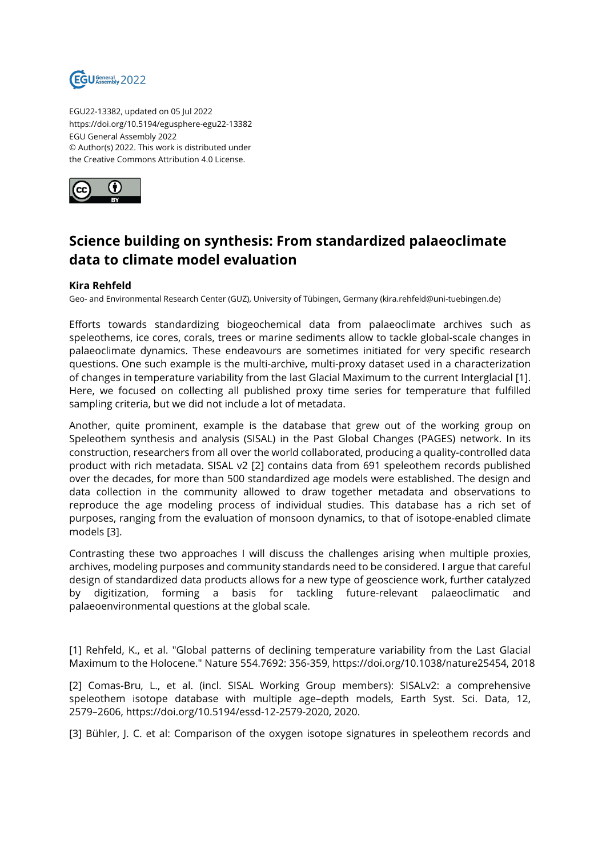

EGU22-13382, updated on 05 Jul 2022 https://doi.org/10.5194/egusphere-egu22-13382 EGU General Assembly 2022 © Author(s) 2022. This work is distributed under the Creative Commons Attribution 4.0 License.



## **Science building on synthesis: From standardized palaeoclimate data to climate model evaluation**

## **Kira Rehfeld**

Geo- and Environmental Research Center (GUZ), University of Tübingen, Germany (kira.rehfeld@uni-tuebingen.de)

Efforts towards standardizing biogeochemical data from palaeoclimate archives such as speleothems, ice cores, corals, trees or marine sediments allow to tackle global-scale changes in palaeoclimate dynamics. These endeavours are sometimes initiated for very specific research questions. One such example is the multi-archive, multi-proxy dataset used in a characterization of changes in temperature variability from the last Glacial Maximum to the current Interglacial [1]. Here, we focused on collecting all published proxy time series for temperature that fulfilled sampling criteria, but we did not include a lot of metadata.

Another, quite prominent, example is the database that grew out of the working group on Speleothem synthesis and analysis (SISAL) in the Past Global Changes (PAGES) network. In its construction, researchers from all over the world collaborated, producing a quality-controlled data product with rich metadata. SISAL v2 [2] contains data from 691 speleothem records published over the decades, for more than 500 standardized age models were established. The design and data collection in the community allowed to draw together metadata and observations to reproduce the age modeling process of individual studies. This database has a rich set of purposes, ranging from the evaluation of monsoon dynamics, to that of isotope-enabled climate models [3].

Contrasting these two approaches I will discuss the challenges arising when multiple proxies, archives, modeling purposes and community standards need to be considered. I argue that careful design of standardized data products allows for a new type of geoscience work, further catalyzed by digitization, forming a basis for tackling future-relevant palaeoclimatic and palaeoenvironmental questions at the global scale.

[1] Rehfeld, K., et al. "Global patterns of declining temperature variability from the Last Glacial Maximum to the Holocene." Nature 554.7692: 356-359, https://doi.org/10.1038/nature25454, 2018

[2] Comas-Bru, L., et al. (incl. SISAL Working Group members): SISALv2: a comprehensive speleothem isotope database with multiple age–depth models, Earth Syst. Sci. Data, 12, 2579–2606, https://doi.org/10.5194/essd-12-2579-2020, 2020.

[3] Bühler, J. C. et al: Comparison of the oxygen isotope signatures in speleothem records and